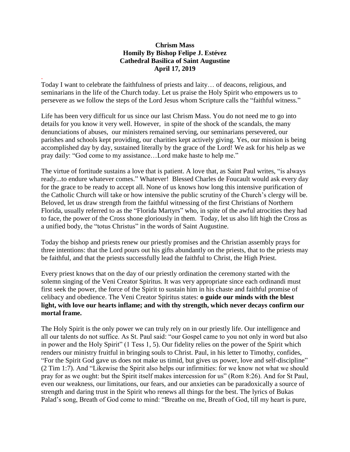## **Chrism Mass Homily By Bishop Felipe J. Estévez Cathedral Basilica of Saint Augustine April 17, 2019**

Today I want to celebrate the faithfulness of priests and laity… of deacons, religious, and seminarians in the life of the Church today. Let us praise the Holy Spirit who empowers us to persevere as we follow the steps of the Lord Jesus whom Scripture calls the "faithful witness."

.

Life has been very difficult for us since our last Chrism Mass. You do not need me to go into details for you know it very well. However, in spite of the shock of the scandals, the many denunciations of abuses, our ministers remained serving, our seminarians persevered, our parishes and schools kept providing, our charities kept actively giving. Yes, our mission is being accomplished day by day, sustained literally by the grace of the Lord! We ask for his help as we pray daily: "God come to my assistance…Lord make haste to help me."

The virtue of fortitude sustains a love that is patient. A love that, as Saint Paul writes, "is always ready...to endure whatever comes." Whatever! Blessed Charles de Foucault would ask every day for the grace to be ready to accept all. None of us knows how long this intensive purification of the Catholic Church will take or how intensive the public scrutiny of the Church's clergy will be. Beloved, let us draw strength from the faithful witnessing of the first Christians of Northern Florida, usually referred to as the "Florida Martyrs" who, in spite of the awful atrocities they had to face, the power of the Cross shone gloriously in them. Today, let us also lift high the Cross as a unified body, the "totus Christus" in the words of Saint Augustine.

Today the bishop and priests renew our priestly promises and the Christian assembly prays for three intentions: that the Lord pours out his gifts abundantly on the priests, that to the priests may be faithful, and that the priests successfully lead the faithful to Christ, the High Priest.

Every priest knows that on the day of our priestly ordination the ceremony started with the solemn singing of the Veni Creator Spiritus. It was very appropriate since each ordinandi must first seek the power, the force of the Spirit to sustain him in his chaste and faithful promise of celibacy and obedience. The Veni Creator Spiritus states: **o guide our minds with the blest light, with love our hearts inflame; and with thy strength, which never decays confirm our mortal frame.**

The Holy Spirit is the only power we can truly rely on in our priestly life. Our intelligence and all our talents do not suffice. As St. Paul said: "our Gospel came to you not only in word but also in power and the Holy Spirit" (1 Tess 1, 5). Our fidelity relies on the power of the Spirit which renders our ministry fruitful in bringing souls to Christ. Paul, in his letter to Timothy, confides, "For the Spirit God gave us does not make us timid, but gives us power, love and self-discipline" (2 Tim 1:7). And "Likewise the Spirit also helps our infirmities: for we know not what we should pray for as we ought: but the Spirit itself makes intercession for us" (Rom 8:26). And for St Paul, even our weakness, our limitations, our fears, and our anxieties can be paradoxically a source of strength and daring trust in the Spirit who renews all things for the best. The lyrics of Bukas Palad's song, Breath of God come to mind: "Breathe on me, Breath of God, till my heart is pure,